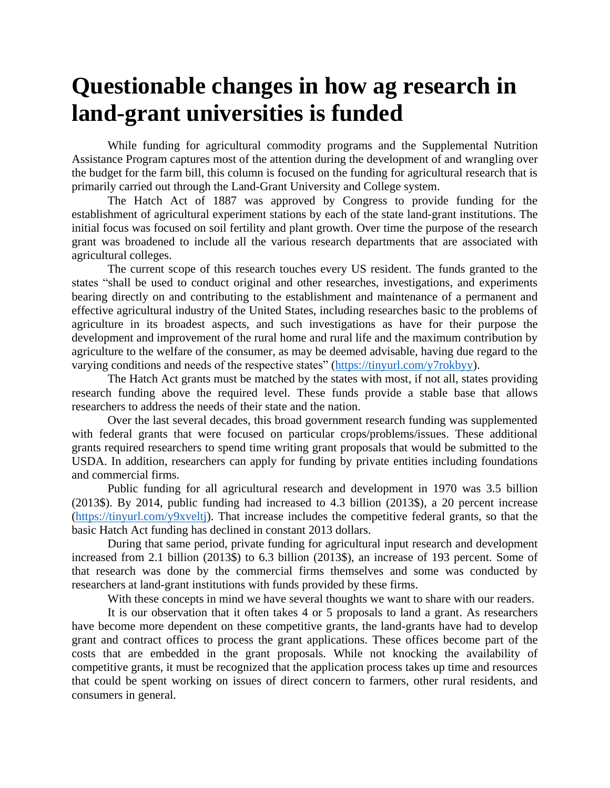## **Questionable changes in how ag research in land-grant universities is funded**

While funding for agricultural commodity programs and the Supplemental Nutrition Assistance Program captures most of the attention during the development of and wrangling over the budget for the farm bill, this column is focused on the funding for agricultural research that is primarily carried out through the Land-Grant University and College system.

The Hatch Act of 1887 was approved by Congress to provide funding for the establishment of agricultural experiment stations by each of the state land-grant institutions. The initial focus was focused on soil fertility and plant growth. Over time the purpose of the research grant was broadened to include all the various research departments that are associated with agricultural colleges.

The current scope of this research touches every US resident. The funds granted to the states "shall be used to conduct original and other researches, investigations, and experiments bearing directly on and contributing to the establishment and maintenance of a permanent and effective agricultural industry of the United States, including researches basic to the problems of agriculture in its broadest aspects, and such investigations as have for their purpose the development and improvement of the rural home and rural life and the maximum contribution by agriculture to the welfare of the consumer, as may be deemed advisable, having due regard to the varying conditions and needs of the respective states" [\(https://tinyurl.com/y7rokbyy\)](https://tinyurl.com/y7rokbyy).

The Hatch Act grants must be matched by the states with most, if not all, states providing research funding above the required level. These funds provide a stable base that allows researchers to address the needs of their state and the nation.

Over the last several decades, this broad government research funding was supplemented with federal grants that were focused on particular crops/problems/issues. These additional grants required researchers to spend time writing grant proposals that would be submitted to the USDA. In addition, researchers can apply for funding by private entities including foundations and commercial firms.

Public funding for all agricultural research and development in 1970 was 3.5 billion (2013\$). By 2014, public funding had increased to 4.3 billion (2013\$), a 20 percent increase [\(https://tinyurl.com/y9xveltj\)](https://tinyurl.com/y9xveltj). That increase includes the competitive federal grants, so that the basic Hatch Act funding has declined in constant 2013 dollars.

During that same period, private funding for agricultural input research and development increased from 2.1 billion (2013\$) to 6.3 billion (2013\$), an increase of 193 percent. Some of that research was done by the commercial firms themselves and some was conducted by researchers at land-grant institutions with funds provided by these firms.

With these concepts in mind we have several thoughts we want to share with our readers.

It is our observation that it often takes 4 or 5 proposals to land a grant. As researchers have become more dependent on these competitive grants, the land-grants have had to develop grant and contract offices to process the grant applications. These offices become part of the costs that are embedded in the grant proposals. While not knocking the availability of competitive grants, it must be recognized that the application process takes up time and resources that could be spent working on issues of direct concern to farmers, other rural residents, and consumers in general.